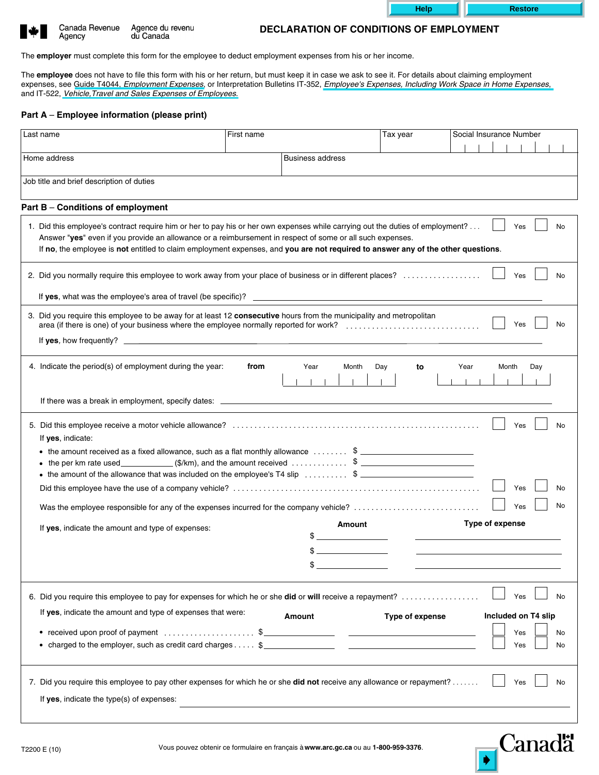| ₩ | Canada R |
|---|----------|
|   | Agency   |
|   |          |

Agence du revenu Revenue du Canada

## **DECLARATION OF CONDITIONS OF EMPLOYMENT**

The **employer** must complete this form for the employee to deduct employment expenses from his or her income.

The **employee** does not have to file this form with his or her return, but must keep it in case we ask to see it. For details about claiming employment expenses, see Guide T4044, *Employment Expenses*, or Interpretation Bulletins IT-352, *Employee's Expenses, Including Work Space in Home Expenses*, and IT-522, *Vehicle,Travel and Sales Expenses of Employees*.

## **Part A** – **Employee information (please print)**

| Last name                                                                                                                                                                                 | First name |                                              | Tax year        | Social Insurance Number |  |  |  |
|-------------------------------------------------------------------------------------------------------------------------------------------------------------------------------------------|------------|----------------------------------------------|-----------------|-------------------------|--|--|--|
|                                                                                                                                                                                           |            |                                              |                 |                         |  |  |  |
| Home address                                                                                                                                                                              |            | <b>Business address</b>                      |                 |                         |  |  |  |
|                                                                                                                                                                                           |            |                                              |                 |                         |  |  |  |
| Job title and brief description of duties                                                                                                                                                 |            |                                              |                 |                         |  |  |  |
| Part B - Conditions of employment                                                                                                                                                         |            |                                              |                 |                         |  |  |  |
| 1. Did this employee's contract require him or her to pay his or her own expenses while carrying out the duties of employment?                                                            |            |                                              |                 | Yes<br>No               |  |  |  |
| Answer "yes" even if you provide an allowance or a reimbursement in respect of some or all such expenses.                                                                                 |            |                                              |                 |                         |  |  |  |
| If no, the employee is not entitled to claim employment expenses, and you are not required to answer any of the other questions.                                                          |            |                                              |                 |                         |  |  |  |
|                                                                                                                                                                                           |            |                                              |                 |                         |  |  |  |
| 2. Did you normally require this employee to work away from your place of business or in different places?                                                                                |            |                                              |                 | Yes<br>No               |  |  |  |
|                                                                                                                                                                                           |            |                                              |                 |                         |  |  |  |
| 3. Did you require this employee to be away for at least 12 consecutive hours from the municipality and metropolitan                                                                      |            |                                              |                 |                         |  |  |  |
|                                                                                                                                                                                           |            |                                              |                 | Yes<br>No               |  |  |  |
|                                                                                                                                                                                           |            |                                              |                 |                         |  |  |  |
|                                                                                                                                                                                           |            |                                              |                 |                         |  |  |  |
| 4. Indicate the period(s) of employment during the year:                                                                                                                                  | from       | Month<br>Year                                | Day<br>to       | Year<br>Month<br>Day    |  |  |  |
|                                                                                                                                                                                           |            |                                              |                 |                         |  |  |  |
|                                                                                                                                                                                           |            |                                              |                 |                         |  |  |  |
|                                                                                                                                                                                           |            |                                              |                 |                         |  |  |  |
|                                                                                                                                                                                           |            |                                              |                 | Yes<br>No               |  |  |  |
| If yes, indicate:                                                                                                                                                                         |            |                                              |                 |                         |  |  |  |
| • the amount received as a fixed allowance, such as a flat monthly allowance $\dots \dots$ \$                                                                                             |            |                                              |                 |                         |  |  |  |
| • the per km rate used $(\frac{\sqrt{2}}{2})$ (\$/km), and the amount received \$<br>• the amount of the allowance that was included on the employee's $74$ slip $\ldots \ldots \quad$ \$ |            |                                              |                 |                         |  |  |  |
|                                                                                                                                                                                           |            |                                              |                 | Yes                     |  |  |  |
|                                                                                                                                                                                           |            |                                              |                 | No<br>Yes               |  |  |  |
| Was the employee responsible for any of the expenses incurred for the company vehicle?                                                                                                    |            |                                              |                 |                         |  |  |  |
| If yes, indicate the amount and type of expenses:                                                                                                                                         |            | Amount                                       |                 | Type of expense         |  |  |  |
|                                                                                                                                                                                           |            | <u> 1989 - Jan Alexandro III, politik po</u> |                 |                         |  |  |  |
|                                                                                                                                                                                           |            | S                                            |                 |                         |  |  |  |
|                                                                                                                                                                                           |            |                                              |                 |                         |  |  |  |
|                                                                                                                                                                                           |            |                                              |                 | Yes<br>No               |  |  |  |
| 6. Did you require this employee to pay for expenses for which he or she did or will receive a repayment?                                                                                 |            |                                              |                 |                         |  |  |  |
| If yes, indicate the amount and type of expenses that were:                                                                                                                               |            | <b>Amount</b>                                | Type of expense | Included on T4 slip     |  |  |  |
|                                                                                                                                                                                           |            |                                              |                 | Yes<br>No               |  |  |  |
| • charged to the employer, such as credit card charges $\ldots$ , \$                                                                                                                      |            |                                              |                 | Yes<br>No               |  |  |  |
|                                                                                                                                                                                           |            |                                              |                 |                         |  |  |  |
| 7. Did you require this employee to pay other expenses for which he or she did not receive any allowance or repayment?<br>Yes<br>No                                                       |            |                                              |                 |                         |  |  |  |
|                                                                                                                                                                                           |            |                                              |                 |                         |  |  |  |
| If yes, indicate the type(s) of expenses:                                                                                                                                                 |            |                                              |                 |                         |  |  |  |
|                                                                                                                                                                                           |            |                                              |                 |                         |  |  |  |